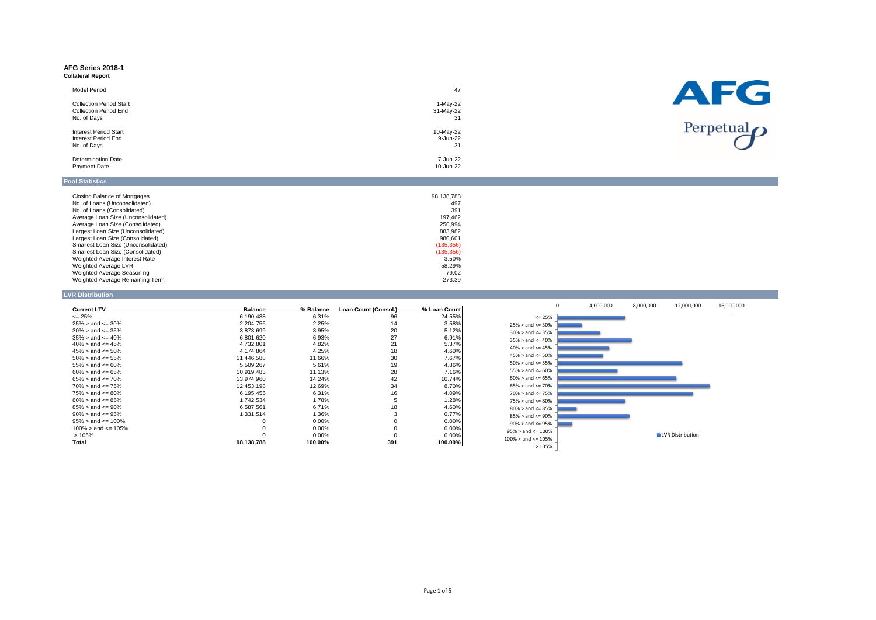#### **AFG Series 2018-1 Collateral Report**

| Model Period                                                   | 47                      |
|----------------------------------------------------------------|-------------------------|
| <b>Collection Period Start</b><br><b>Collection Period End</b> | $1-May-22$<br>31-May-22 |
| No. of Days                                                    | 31                      |
| <b>Interest Period Start</b>                                   | 10-May-22               |
| Interest Period End                                            | 9-Jun-22                |
| No. of Days                                                    | 31                      |
| <b>Determination Date</b>                                      | 7-Jun-22                |
| <b>Payment Date</b>                                            | 10-Jun-22               |
|                                                                |                         |



## **Pool Statistics**

| Closing Balance of Mortgages        | 98.138.788 |
|-------------------------------------|------------|
| No. of Loans (Unconsolidated)       | 497        |
| No. of Loans (Consolidated)         | 391        |
| Average Loan Size (Unconsolidated)  | 197.462    |
| Average Loan Size (Consolidated)    | 250.994    |
| Largest Loan Size (Unconsolidated)  | 883.982    |
| Largest Loan Size (Consolidated)    | 980.601    |
| Smallest Loan Size (Unconsolidated) | (135, 356) |
| Smallest Loan Size (Consolidated)   | (135, 356) |
| Weighted Average Interest Rate      | 3.50%      |
| Weighted Average LVR                | 58.29%     |
| Weighted Average Seasoning          | 79.02      |
| Weighted Average Remaining Term     | 273.39     |

## **LVR Distribution**

| <b>Current LTV</b>         | <b>Balance</b> | % Balance | Loan Count (Consol.) | % Loan Count |
|----------------------------|----------------|-----------|----------------------|--------------|
| $\leq$ 25%                 | 6,190,488      | 6.31%     | 96                   | 24.55%       |
| $25\% >$ and $\leq 30\%$   | 2,204,756      | 2.25%     | 14                   | 3.58%        |
| $30\%$ > and <= 35%        | 3,873,699      | 3.95%     | 20                   | 5.12%        |
| $35\% >$ and $\leq 40\%$   | 6,801,620      | 6.93%     | 27                   | 6.91%        |
| $40\% >$ and $\leq 45\%$   | 4.732.801      | 4.82%     | 21                   | 5.37%        |
| $45\% >$ and $\leq 50\%$   | 4.174.864      | 4.25%     | 18                   | 4.60%        |
| $50\% >$ and $\leq 55\%$   | 11.446.588     | 11.66%    | 30                   | 7.67%        |
| $55\% >$ and $\leq 60\%$   | 5,509,267      | 5.61%     | 19                   | 4.86%        |
| $60\% >$ and $\leq 65\%$   | 10.919.483     | 11.13%    | 28                   | 7.16%        |
| $65\% >$ and $\leq 70\%$   | 13.974.960     | 14.24%    | 42                   | 10.74%       |
| $70\% >$ and $\leq 75\%$   | 12.453.198     | 12.69%    | 34                   | 8.70%        |
| $75\% >$ and $\leq 80\%$   | 6,195,455      | 6.31%     | 16                   | 4.09%        |
| $80\%$ > and <= 85%        | 1,742,534      | 1.78%     | 5                    | 1.28%        |
| $85\% >$ and $\leq 90\%$   | 6,587,561      | 6.71%     | 18                   | 4.60%        |
| $90\% >$ and $\leq 95\%$   | 1.331.514      | 1.36%     |                      | 0.77%        |
| $95\% >$ and $\leq 100\%$  |                | 0.00%     | $\Omega$             | 0.00%        |
| $100\%$ > and $\leq 105\%$ |                | 0.00%     | 0                    | 0.00%        |
| >105%                      |                | 0.00%     | $\Omega$             | 0.00%        |
| Total                      | 98,138,788     | 100.00%   | 391                  | 100.00%      |

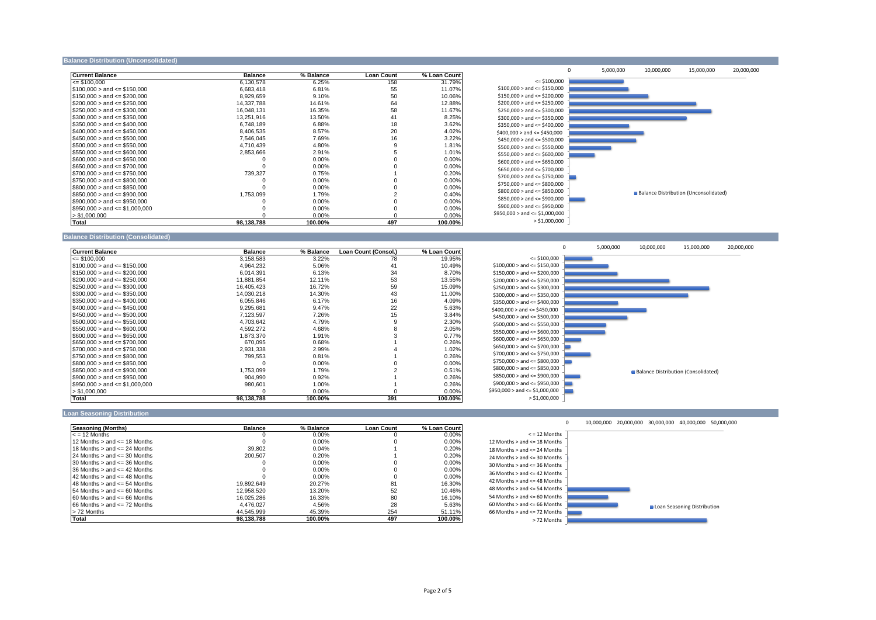#### **Balance Distribution (Unconsolidated)**

| <b>Current Balance</b>              | <b>Balance</b> | % Balance | <b>Loan Count</b> | % Loan Count |
|-------------------------------------|----------------|-----------|-------------------|--------------|
| $\leq$ \$100.000                    | 6,130,578      | 6.25%     | 158               | 31.79%       |
| $$100,000 >$ and $\leq$ \$150,000   | 6,683,418      | 6.81%     | 55                | 11.07%       |
| $$150,000 >$ and $\leq$ \$200,000   | 8,929,659      | 9.10%     | 50                | 10.06%       |
| $$200.000 >$ and $\leq$ \$250.000   | 14.337.788     | 14.61%    | 64                | 12.88%       |
| $$250.000 >$ and $\leq$ \$300.000   | 16.048.131     | 16.35%    | 58                | 11.67%       |
| $$300,000 >$ and $\leq$ \$350,000   | 13,251,916     | 13.50%    | 41                | 8.25%        |
| $$350,000 >$ and $\leq$ \$400,000   | 6,748,189      | 6.88%     | 18                | 3.62%        |
| $$400.000 >$ and $\leq$ \$450.000   | 8.406.535      | 8.57%     | 20                | 4.02%        |
| $$450.000 >$ and $\leq$ \$500.000   | 7.546.045      | 7.69%     | 16                | 3.22%        |
| $$500,000 >$ and $\leq$ \$550,000   | 4.710.439      | 4.80%     | 9                 | 1.81%        |
| $$550,000 >$ and $\leq$ \$600,000   | 2,853,666      | 2.91%     |                   | 1.01%        |
| $$600.000 >$ and $\leq$ \$650.000   |                | $0.00\%$  |                   | 0.00%        |
| $$650.000 >$ and $\leq$ \$700.000   |                | $0.00\%$  |                   | 0.00%        |
| $$700,000 >$ and $\leq$ \$750,000   | 739,327        | 0.75%     |                   | 0.20%        |
| $$750,000 >$ and $\leq$ \$800,000   |                | $0.00\%$  |                   | 0.00%        |
| $$800,000 >$ and $\leq$ \$850,000   |                | $0.00\%$  |                   | 0.00%        |
| $$850,000 >$ and $\leq$ \$900,000   | 1,753,099      | 1.79%     |                   | 0.40%        |
| $$900,000 >$ and $\leq$ \$950,000   |                | $0.00\%$  |                   | 0.00%        |
| $$950.000 >$ and $\leq$ \$1.000.000 |                | $0.00\%$  |                   | 0.00%        |
| > \$1.000.000                       |                | 0.00%     |                   | 0.00%        |
| Total                               | QR 138 788     | 100,00%   | AQ                | 100,00%      |



## **Balance Distribution (Consolidated)**

| <b>Current Balance</b>             | <b>Balance</b> | % Balance | Loan Count (Consol.) | % Loan Count |
|------------------------------------|----------------|-----------|----------------------|--------------|
| $\leq$ \$100.000                   | 3,158,583      | 3.22%     | 78                   | 19.95%       |
| $$100,000 >$ and $\leq$ \$150,000  | 4.964.232      | 5.06%     | 41                   | 10.49%       |
| $$150,000 >$ and $\leq$ \$200,000  | 6,014,391      | 6.13%     | 34                   | 8.70%        |
| $$200,000 >$ and $\leq$ \$250,000  | 11,881,854     | 12.11%    | 53                   | 13.55%       |
| $$250,000 >$ and $\leq$ \$300,000  | 16.405.423     | 16.72%    | 59                   | 15.09%       |
| $$300.000 >$ and $\leq$ \$350.000  | 14,030,218     | 14.30%    | 43                   | 11.00%       |
| $$350,000 >$ and $\leq$ \$400,000  | 6,055,846      | 6.17%     | 16                   | 4.09%        |
| $$400.000 >$ and $\leq$ \$450.000  | 9.295.681      | 9.47%     | 22                   | 5.63%        |
| $$450,000 >$ and $\leq$ \$500,000  | 7,123,597      | 7.26%     | 15                   | 3.84%        |
| $$500.000 >$ and $\leq$ \$550.000  | 4.703.642      | 4.79%     | 9                    | 2.30%        |
| $$550,000 >$ and $\leq$ \$600,000  | 4,592,272      | 4.68%     | 8                    | 2.05%        |
| $$600,000 >$ and $\leq$ \$650,000  | 1,873,370      | 1.91%     |                      | 0.77%        |
| $$650,000 >$ and $\leq$ \$700,000  | 670.095        | 0.68%     |                      | 0.26%        |
| $$700,000 >$ and $\leq$ \$750,000  | 2,931,338      | 2.99%     |                      | 1.02%        |
| $$750,000 >$ and $\leq$ \$800,000  | 799,553        | 0.81%     |                      | 0.26%        |
| $$800.000 >$ and $\leq$ \$850,000  |                | 0.00%     |                      | 0.00%        |
| $$850,000 >$ and $\leq$ \$900,000  | 1,753,099      | 1.79%     |                      | 0.51%        |
| $$900,000 >$ and $\leq$ \$950,000  | 904,990        | 0.92%     |                      | 0.26%        |
| $$950,000 >$ and $\leq $1,000,000$ | 980,601        | 1.00%     |                      | 0.26%        |
| > \$1,000,000                      |                | 0.00%     | $\Omega$             | 0.00%        |
| Total                              | 98,138,788     | 100.00%   | 391                  | 100.00%      |



#### **Loan Seasoning Distribution**

| Seasoning (Months)                   | <b>Balance</b> | % Balance | Loan Count | % Loan Count |
|--------------------------------------|----------------|-----------|------------|--------------|
| $\leq$ = 12 Months                   |                | 0.00%     |            | 0.00%        |
| 12 Months $>$ and $\leq$ 18 Months   |                | 0.00%     |            | 0.00%        |
| 18 Months $>$ and $\leq$ 24 Months   | 39.802         | 0.04%     |            | 0.20%        |
| 24 Months $>$ and $\leq$ 30 Months   | 200,507        | 0.20%     |            | 0.20%        |
| $30$ Months $>$ and $\leq$ 36 Months |                | 0.00%     |            | 0.00%        |
| 36 Months $>$ and $\leq$ 42 Months   |                | $0.00\%$  |            | 0.00%        |
| 42 Months $>$ and $\leq$ 48 Months   |                | $0.00\%$  |            | 0.00%        |
| 48 Months $>$ and $\leq$ 54 Months   | 19.892.649     | 20.27%    | 81         | 16.30%       |
| 54 Months $>$ and $\leq$ 60 Months   | 12.958.520     | 13.20%    | 52         | 10.46%       |
| $60$ Months $>$ and $\leq 66$ Months | 16.025.286     | 16.33%    | 80         | 16.10%       |
| $66$ Months $>$ and $\leq$ 72 Months | 4.476.027      | 4.56%     | 28         | 5.63%        |
| > 72 Months                          | 44.545.999     | 45.39%    | 254        | 51.11%       |
| Total                                | 98.138.788     | 100.00%   | 497        | 100.00%      |

 $\mathbf{0}$ 10,000,000 20,000,000 30,000,000 40,000,000 50,000,000

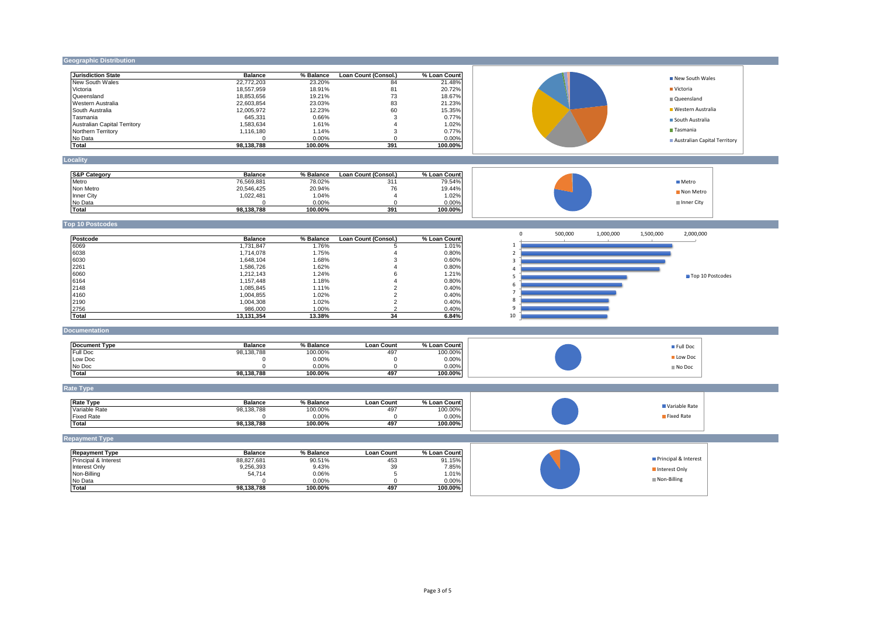## **Geographic Distribution**

| <b>Jurisdiction State</b>           | <b>Balance</b> | % Balance | Loan Count (Consol.) | % Loan Count | New South Wales                                               |                  |
|-------------------------------------|----------------|-----------|----------------------|--------------|---------------------------------------------------------------|------------------|
| New South Wales                     | 22,772,203     | 23.20%    | 84                   | 21.48%       |                                                               |                  |
| Victoria                            | 18,557,959     | 18.91%    | 81                   | 20.72%       | <b>Victoria</b>                                               |                  |
| Queensland                          | 18,853,656     | 19.21%    | 73                   | 18.67%       | Queensland                                                    |                  |
| Western Australia                   | 22,603,854     | 23.03%    | 83                   | 21.23%       | <b>Western Australia</b>                                      |                  |
| South Australia                     | 12,005,972     | 12.23%    | 60                   | 15.35%       |                                                               |                  |
| Tasmania                            | 645,331        | 0.66%     | 3                    | 0.77%        | South Australia                                               |                  |
| <b>Australian Capital Territory</b> | 1,583,634      | 1.61%     | $\overline{4}$       | 1.02%        | Tasmania                                                      |                  |
| Northern Territory                  | 1,116,180      | 1.14%     | 3                    | 0.77%        |                                                               |                  |
| No Data                             | $\Omega$       | 0.00%     | $\Omega$             | 0.00%        | Australian Capital Territory                                  |                  |
| <b>Total</b>                        | 98,138,788     | 100.00%   | 391                  | 100.00%      |                                                               |                  |
| Locality                            |                |           |                      |              |                                                               |                  |
|                                     |                |           |                      |              |                                                               |                  |
| <b>S&amp;P Category</b>             | <b>Balance</b> | % Balance | Loan Count (Consol.) | % Loan Count |                                                               |                  |
| Metro                               | 76,569,881     | 78.02%    | 311                  | 79.54%       | <b>Metro</b>                                                  |                  |
| Non Metro                           | 20,546,425     | 20.94%    | 76                   | 19.44%       | Non Metro                                                     |                  |
| Inner City                          | 1,022,481      | 1.04%     | $\overline{4}$       | 1.02%        |                                                               |                  |
| No Data                             | $\Omega$       | 0.00%     | $\Omega$             | 0.00%        | Inner City                                                    |                  |
| <b>Total</b>                        | 98,138,788     | 100.00%   | 391                  | 100.00%      |                                                               |                  |
|                                     |                |           |                      |              |                                                               |                  |
| <b>Top 10 Postcodes</b>             |                |           |                      |              |                                                               |                  |
| Postcode                            | <b>Balance</b> | % Balance | Loan Count (Consol.) | % Loan Count | 2,000,000<br>$\mathbf 0$<br>500,000<br>1,000,000<br>1,500,000 |                  |
| 6069                                | 1,731,847      | 1.76%     | 5                    | 1.01%        | $\mathbf{1}$                                                  |                  |
| 6038                                | 1,714,078      | 1.75%     | 4                    | 0.80%        | $\overline{2}$                                                |                  |
| 6030                                | 1,648,104      | 1.68%     | 3                    | 0.60%        | 3                                                             |                  |
| 2261                                | 1,586,726      | 1.62%     | $\overline{4}$       | 0.80%        | 4                                                             |                  |
| 6060                                | 1,212,143      | 1.24%     | 6                    | 1.21%        |                                                               |                  |
| 6164                                | 1,157,448      | 1.18%     | $\overline{4}$       | 0.80%        | 5                                                             | Top 10 Postcodes |
| 2148                                | 1,085,845      | 1.11%     | $\overline{2}$       | 0.40%        | 6                                                             |                  |
| 4160                                | 1,004,855      | 1.02%     | $\overline{2}$       | 0.40%        | $\overline{7}$                                                |                  |
| 2190                                | 1,004,308      | 1.02%     | $\overline{2}$       | 0.40%        | 8                                                             |                  |
| 2756                                | 986,000        | 1.00%     | $\mathcal{P}$        | 0.40%        | 9                                                             |                  |
| <b>Total</b>                        | 13,131,354     | 13.38%    | 34                   | 6.84%        | 10                                                            |                  |
|                                     |                |           |                      |              |                                                               |                  |
| <b>Documentation</b>                |                |           |                      |              |                                                               |                  |
| <b>Document Type</b>                | <b>Balance</b> | % Balance | <b>Loan Count</b>    | % Loan Count |                                                               |                  |
| Full Doc                            | 98,138,788     | 100.00%   | 497                  | 100.00%      | Full Doc                                                      |                  |
| Low Doc                             | $\mathsf 0$    | 0.00%     | $\mathsf 0$          | 0.00%        | Low Doc                                                       |                  |
| No Doc                              | $\Omega$       | 0.00%     | $\mathbf 0$          | 0.00%        | No Doc                                                        |                  |
| <b>Total</b>                        | 98,138,788     | 100.00%   | 497                  | 100.00%      |                                                               |                  |
|                                     |                |           |                      |              |                                                               |                  |
| <b>Rate Type</b>                    |                |           |                      |              |                                                               |                  |
|                                     |                |           |                      |              |                                                               |                  |
| <b>Rate Type</b>                    | <b>Balance</b> | % Balance | <b>Loan Count</b>    | % Loan Count | Variable Rate                                                 |                  |
| Variable Rate                       | 98,138,788     | 100.00%   | 497                  | 100.00%      |                                                               |                  |
| <b>Fixed Rate</b>                   | $\mathbf 0$    | 0.00%     | $\mathbf 0$          | 0.00%        | Fixed Rate                                                    |                  |
| <b>Total</b>                        | 98,138,788     | 100.00%   | 497                  | 100.00%      |                                                               |                  |
| <b>Repayment Type</b>               |                |           |                      |              |                                                               |                  |
| <b>Repayment Type</b>               | <b>Balance</b> | % Balance | <b>Loan Count</b>    | % Loan Count |                                                               |                  |
| Principal & Interest                | 88,827,681     | 90.51%    | 453                  | 91.15%       | Principal & Interest                                          |                  |
| Interest Only                       | 9,256,393      | 9.43%     | 39                   | 7.85%        |                                                               |                  |
| Non-Billing                         | 54,714         | 0.06%     | 5                    | 1.01%        | Interest Only                                                 |                  |
| No Data                             | $\Omega$       | 0.00%     | $\Omega$             | 0.00%        | Non-Billing                                                   |                  |
| <b>Total</b>                        | 98,138,788     | 100.00%   | 497                  | 100.00%      |                                                               |                  |
|                                     |                |           |                      |              |                                                               |                  |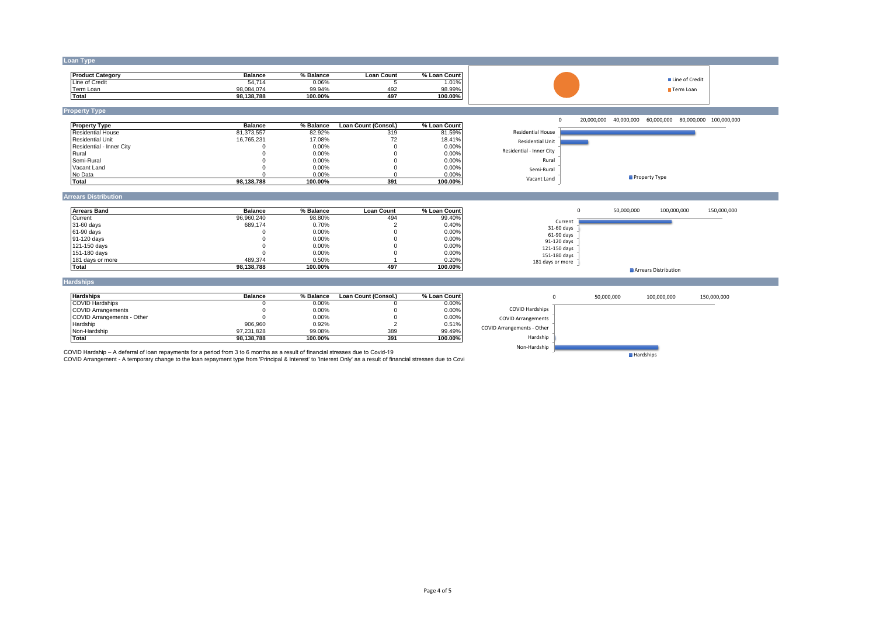## **Loan Type**

| <b>Product Category</b> | <b>Balance</b> | % Balance | Loan Count | % Loan<br>Count |
|-------------------------|----------------|-----------|------------|-----------------|
| Line of Credit          | 54.714         | 0.06%     |            | .01%            |
| Term Loan               | 98.084.074     | 99.94%    | 492        | 98.99%          |
| Total                   | 98.138.788     | 100.00%   | 497        | 100.00%         |



## **Property Type**

| <b>Property Type</b>     | <b>Balance</b> | % Balance | Loan Count (Consol.) | % Loan Count |
|--------------------------|----------------|-----------|----------------------|--------------|
| <b>Residential House</b> | 81.373.557     | 82.92%    | 319                  | 81.59%       |
| <b>Residential Unit</b>  | 16.765.231     | 17.08%    | 72                   | 18.41%       |
| Residential - Inner City |                | 0.00%     |                      | $0.00\%$     |
| Rural                    |                | 0.00%     |                      | $0.00\%$     |
| Semi-Rural               |                | 0.00%     |                      | 0.00%        |
| Vacant Land              |                | 0.00%     |                      | 0.00%        |
| No Data                  |                | 0.00%     |                      | $0.00\%$     |
| Total                    | 98.138.788     | 100.00%   | 391                  | 100.00%      |

0 20,000,000 40,000,000 60,000,000 80,000,000 100,000,000

Line of Credit **Term Loan** 



#### **Arrears Distribution**

| <b>Arrears Band</b> | <b>Balance</b> | % Balance | Loan Count | % Loan Count |
|---------------------|----------------|-----------|------------|--------------|
| Current             | 96.960.240     | 98.80%    | 494        | 99.40%       |
| 31-60 days          | 689.174        | 0.70%     |            | 0.40%        |
| 61-90 days          |                | 0.00%     |            | 0.00%        |
| 91-120 days         |                | 0.00%     |            | 0.00%        |
| 121-150 days        |                | 0.00%     |            | 0.00%        |
| 151-180 days        |                | 0.00%     |            | 0.00%        |
| 181 days or more    | 489.374        | 0.50%     |            | 0.20%        |
| Total               | 98.138.788     | 100.00%   | 497        | 100.00%      |



## **Hardships**

| <b>Hardships</b>                  | <b>Balance</b> | % Balance | Loan Count (Consol.) | % Loan Count |
|-----------------------------------|----------------|-----------|----------------------|--------------|
| <b>COVID Hardships</b>            |                | 0.00%     |                      | 0.00%        |
| <b>COVID Arrangements</b>         |                | 0.00%     |                      | 0.00%        |
| <b>COVID Arrangements - Other</b> |                | 0.00%     |                      | 0.00%        |
| Hardship                          | 906.960        | 0.92%     |                      | 0.51%        |
| Non-Hardship                      | 97.231.828     | 99.08%    | 389                  | 99.49%       |
| Total                             | 98.138.788     | 100.00%   | 391                  | 100.00%      |



COVID Hardship – A deferral of loan repayments for a period from 3 to 6 months as a result of financial stresses due to Covid-19<br>COVID Arrangement - A temporary change to the loan repayment type from 'Principal & Interest'